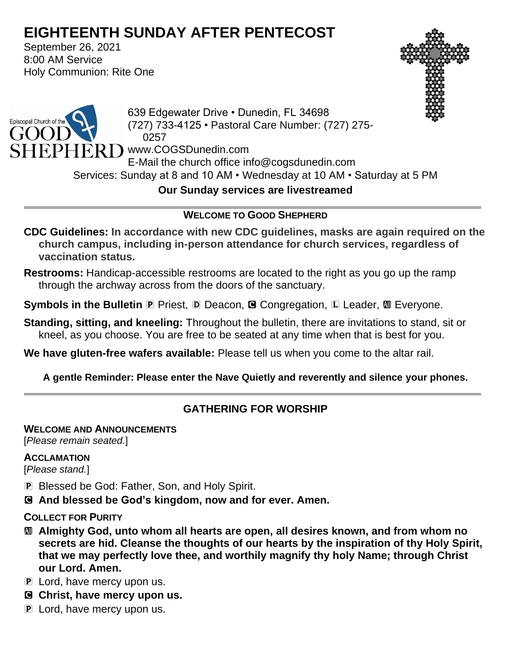# **EIGHTEENTH SUNDAY AFTER PENTECOST**

September 26, 2021 8:00 AM Service Holy Communion: Rite One





639 Edgewater Drive • Dunedin, FL 34698 (727) 733-4125 • Pastoral Care Number: (727) 275- 0257 www.COGSDunedin.com

E-Mail the church office info@cogsdunedin.com

Services: Sunday at 8 and 10 AM • Wednesday at 10 AM • Saturday at 5 PM

# **Our Sunday services are livestreamed**

## **WELCOME TO GOOD SHEPHERD**

- **CDC Guidelines: In accordance with new CDC guidelines, masks are again required on the church campus, including in-person attendance for church services, regardless of vaccination status.**
- **Restrooms:** Handicap-accessible restrooms are located to the right as you go up the ramp through the archway across from the doors of the sanctuary.
- **Symbols in the Bulletin <b>P** Priest, **D** Deacon, **G** Congregation, **L** Leader, **M** Everyone.
- **Standing, sitting, and kneeling:** Throughout the bulletin, there are invitations to stand, sit or kneel, as you choose. You are free to be seated at any time when that is best for you.

**We have gluten-free wafers available:** Please tell us when you come to the altar rail.

**A gentle Reminder: Please enter the Nave Quietly and reverently and silence your phones.**

# **GATHERING FOR WORSHIP**

**WELCOME AND ANNOUNCEMENTS** [*Please remain seated.*]

## **ACCLAMATION**

[*Please stand.*]

- P Blessed be God: Father, Son, and Holy Spirit.
- C **And blessed be God's kingdom, now and for ever. Amen.**

## **COLLECT FOR PURITY**

- a **Almighty God, unto whom all hearts are open, all desires known, and from whom no secrets are hid. Cleanse the thoughts of our hearts by the inspiration of thy Holy Spirit, that we may perfectly love thee, and worthily magnify thy holy Name; through Christ our Lord. Amen.**
- **P** Lord, have mercy upon us.
- C **Christ, have mercy upon us.**
- **P** Lord, have mercy upon us.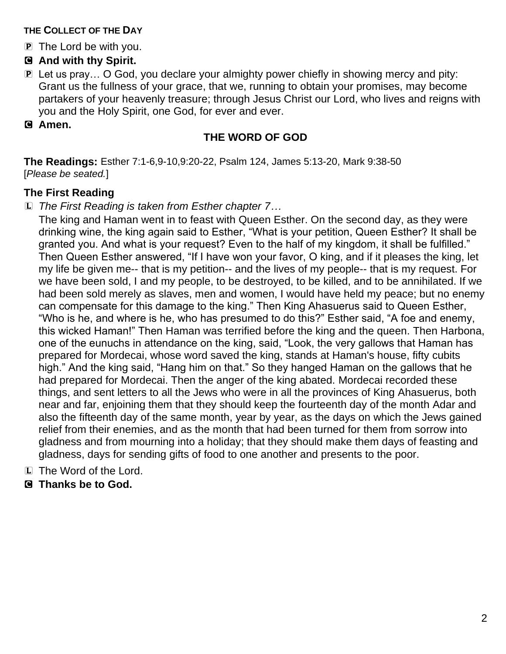#### **THE COLLECT OF THE DAY**

- P The Lord be with you.
- C **And with thy Spirit.**
- P Let us pray… O God, you declare your almighty power chiefly in showing mercy and pity: Grant us the fullness of your grace, that we, running to obtain your promises, may become partakers of your heavenly treasure; through Jesus Christ our Lord, who lives and reigns with you and the Holy Spirit, one God, for ever and ever.
- C **Amen.**

# **THE WORD OF GOD**

**The Readings:** Esther 7:1-6,9-10,9:20-22, Psalm 124, James 5:13-20, Mark 9:38-50 [*Please be seated.*]

#### **The First Reading**

L *The First Reading is taken from Esther chapter 7…*

The king and Haman went in to feast with Queen Esther. On the second day, as they were drinking wine, the king again said to Esther, "What is your petition, Queen Esther? It shall be granted you. And what is your request? Even to the half of my kingdom, it shall be fulfilled." Then Queen Esther answered, "If I have won your favor, O king, and if it pleases the king, let my life be given me-- that is my petition-- and the lives of my people-- that is my request. For we have been sold, I and my people, to be destroyed, to be killed, and to be annihilated. If we had been sold merely as slaves, men and women, I would have held my peace; but no enemy can compensate for this damage to the king." Then King Ahasuerus said to Queen Esther, "Who is he, and where is he, who has presumed to do this?" Esther said, "A foe and enemy, this wicked Haman!" Then Haman was terrified before the king and the queen. Then Harbona, one of the eunuchs in attendance on the king, said, "Look, the very gallows that Haman has prepared for Mordecai, whose word saved the king, stands at Haman's house, fifty cubits high." And the king said, "Hang him on that." So they hanged Haman on the gallows that he had prepared for Mordecai. Then the anger of the king abated. Mordecai recorded these things, and sent letters to all the Jews who were in all the provinces of King Ahasuerus, both near and far, enjoining them that they should keep the fourteenth day of the month Adar and also the fifteenth day of the same month, year by year, as the days on which the Jews gained relief from their enemies, and as the month that had been turned for them from sorrow into gladness and from mourning into a holiday; that they should make them days of feasting and gladness, days for sending gifts of food to one another and presents to the poor.

- L The Word of the Lord.
- C **Thanks be to God.**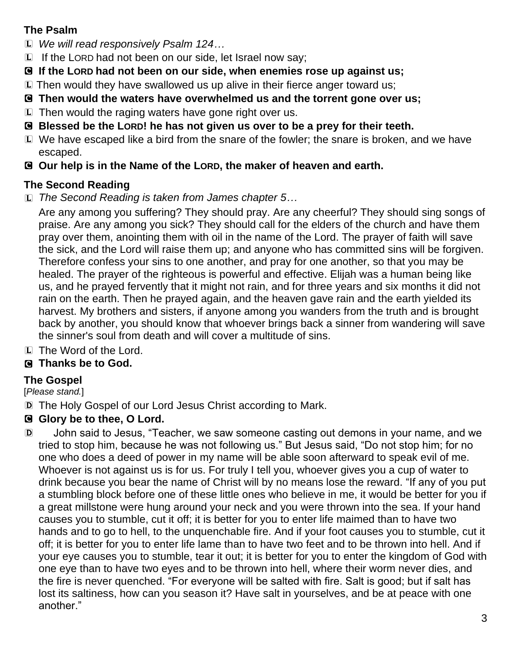# **The Psalm**

- L *We will read responsively Psalm 124…*
- L If the LORD had not been on our side, let Israel now say;
- C **If the LORD had not been on our side, when enemies rose up against us;**
- L Then would they have swallowed us up alive in their fierce anger toward us;
- C **Then would the waters have overwhelmed us and the torrent gone over us;**
- L Then would the raging waters have gone right over us.
- C **Blessed be the LORD! he has not given us over to be a prey for their teeth.**
- L We have escaped like a bird from the snare of the fowler; the snare is broken, and we have escaped.
- C **Our help is in the Name of the LORD, the maker of heaven and earth.**

# **The Second Reading**

L *The Second Reading is taken from James chapter 5…*

Are any among you suffering? They should pray. Are any cheerful? They should sing songs of praise. Are any among you sick? They should call for the elders of the church and have them pray over them, anointing them with oil in the name of the Lord. The prayer of faith will save the sick, and the Lord will raise them up; and anyone who has committed sins will be forgiven. Therefore confess your sins to one another, and pray for one another, so that you may be healed. The prayer of the righteous is powerful and effective. Elijah was a human being like us, and he prayed fervently that it might not rain, and for three years and six months it did not rain on the earth. Then he prayed again, and the heaven gave rain and the earth yielded its harvest. My brothers and sisters, if anyone among you wanders from the truth and is brought back by another, you should know that whoever brings back a sinner from wandering will save the sinner's soul from death and will cover a multitude of sins.

L The Word of the Lord.

# C **Thanks be to God.**

# **The Gospel**

# [*Please stand.*]

D The Holy Gospel of our Lord Jesus Christ according to Mark.

# C **Glory be to thee, O Lord.**

D John said to Jesus, "Teacher, we saw someone casting out demons in your name, and we tried to stop him, because he was not following us." But Jesus said, "Do not stop him; for no one who does a deed of power in my name will be able soon afterward to speak evil of me. Whoever is not against us is for us. For truly I tell you, whoever gives you a cup of water to drink because you bear the name of Christ will by no means lose the reward. "If any of you put a stumbling block before one of these little ones who believe in me, it would be better for you if a great millstone were hung around your neck and you were thrown into the sea. If your hand causes you to stumble, cut it off; it is better for you to enter life maimed than to have two hands and to go to hell, to the unquenchable fire. And if your foot causes you to stumble, cut it off; it is better for you to enter life lame than to have two feet and to be thrown into hell. And if your eye causes you to stumble, tear it out; it is better for you to enter the kingdom of God with one eye than to have two eyes and to be thrown into hell, where their worm never dies, and the fire is never quenched. "For everyone will be salted with fire. Salt is good; but if salt has lost its saltiness, how can you season it? Have salt in yourselves, and be at peace with one another."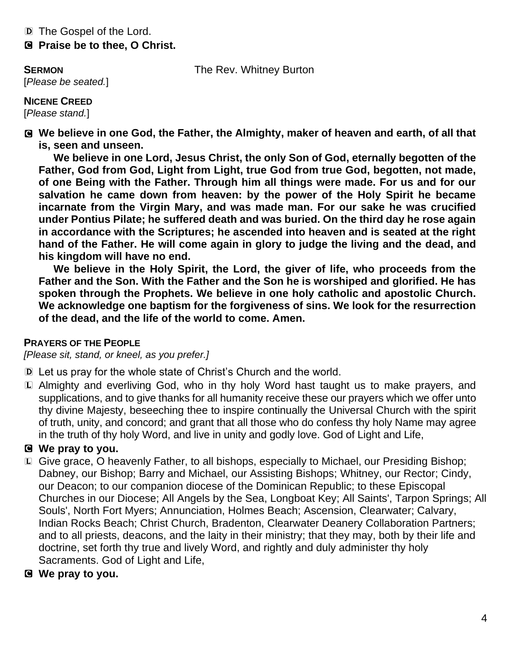#### D The Gospel of the Lord.

#### C **Praise be to thee, O Christ.**

[*Please be seated.*]

**SERMON** The Rev. Whitney Burton

#### **NICENE CREED**  [*Please stand.*]

C **We believe in one God, the Father, the Almighty, maker of heaven and earth, of all that is, seen and unseen.** 

**We believe in one Lord, Jesus Christ, the only Son of God, eternally begotten of the Father, God from God, Light from Light, true God from true God, begotten, not made, of one Being with the Father. Through him all things were made. For us and for our salvation he came down from heaven: by the power of the Holy Spirit he became incarnate from the Virgin Mary, and was made man. For our sake he was crucified under Pontius Pilate; he suffered death and was buried. On the third day he rose again in accordance with the Scriptures; he ascended into heaven and is seated at the right hand of the Father. He will come again in glory to judge the living and the dead, and his kingdom will have no end.**

**We believe in the Holy Spirit, the Lord, the giver of life, who proceeds from the Father and the Son. With the Father and the Son he is worshiped and glorified. He has spoken through the Prophets. We believe in one holy catholic and apostolic Church. We acknowledge one baptism for the forgiveness of sins. We look for the resurrection of the dead, and the life of the world to come. Amen.**

#### **PRAYERS OF THE PEOPLE**

*[Please sit, stand, or kneel, as you prefer.]*

- D Let us pray for the whole state of Christ's Church and the world.
- L Almighty and everliving God, who in thy holy Word hast taught us to make prayers, and supplications, and to give thanks for all humanity receive these our prayers which we offer unto thy divine Majesty, beseeching thee to inspire continually the Universal Church with the spirit of truth, unity, and concord; and grant that all those who do confess thy holy Name may agree in the truth of thy holy Word, and live in unity and godly love. God of Light and Life,

## C **We pray to you.**

- L Give grace, O heavenly Father, to all bishops, especially to Michael, our Presiding Bishop; Dabney, our Bishop; Barry and Michael, our Assisting Bishops; Whitney, our Rector; Cindy, our Deacon; to our companion diocese of the Dominican Republic; to these Episcopal Churches in our Diocese; All Angels by the Sea, Longboat Key; All Saints', Tarpon Springs; All Souls', North Fort Myers; Annunciation, Holmes Beach; Ascension, Clearwater; Calvary, Indian Rocks Beach; Christ Church, Bradenton, Clearwater Deanery Collaboration Partners; and to all priests, deacons, and the laity in their ministry; that they may, both by their life and doctrine, set forth thy true and lively Word, and rightly and duly administer thy holy Sacraments. God of Light and Life,
- C **We pray to you.**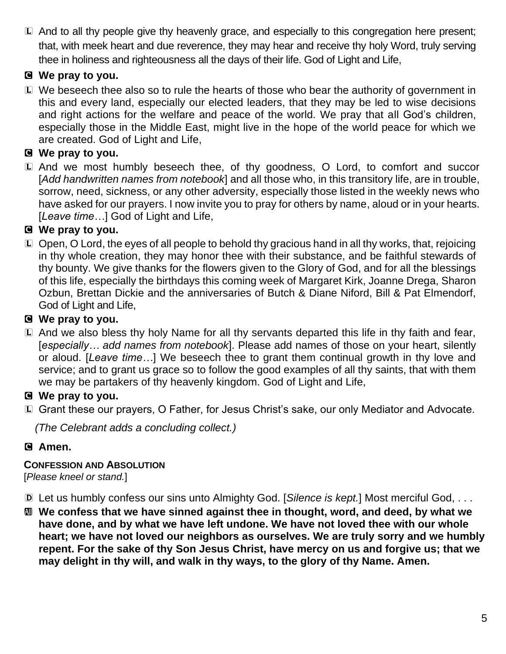L And to all thy people give thy heavenly grace, and especially to this congregation here present; that, with meek heart and due reverence, they may hear and receive thy holy Word, truly serving thee in holiness and righteousness all the days of their life. God of Light and Life,

# C **We pray to you.**

L We beseech thee also so to rule the hearts of those who bear the authority of government in this and every land, especially our elected leaders, that they may be led to wise decisions and right actions for the welfare and peace of the world. We pray that all God's children, especially those in the Middle East, might live in the hope of the world peace for which we are created. God of Light and Life,

# C **We pray to you.**

L And we most humbly beseech thee, of thy goodness, O Lord, to comfort and succor [*Add handwritten names from notebook*] and all those who, in this transitory life, are in trouble, sorrow, need, sickness, or any other adversity, especially those listed in the weekly news who have asked for our prayers. I now invite you to pray for others by name, aloud or in your hearts. [*Leave time…*] God of Light and Life,

# C **We pray to you.**

L Open, O Lord, the eyes of all people to behold thy gracious hand in all thy works, that, rejoicing in thy whole creation, they may honor thee with their substance, and be faithful stewards of thy bounty. We give thanks for the flowers given to the Glory of God, and for all the blessings of this life, especially the birthdays this coming week of Margaret Kirk, Joanne Drega, Sharon Ozbun, Brettan Dickie and the anniversaries of Butch & Diane Niford, Bill & Pat Elmendorf, God of Light and Life,

## C **We pray to you.**

L And we also bless thy holy Name for all thy servants departed this life in thy faith and fear, [*especially… add names from notebook*]. Please add names of those on your heart, silently or aloud. [*Leave time…*] We beseech thee to grant them continual growth in thy love and service; and to grant us grace so to follow the good examples of all thy saints, that with them we may be partakers of thy heavenly kingdom. God of Light and Life,

## C **We pray to you.**

L Grant these our prayers, O Father, for Jesus Christ's sake, our only Mediator and Advocate.

*(The Celebrant adds a concluding collect.)*

## C **Amen.**

**CONFESSION AND ABSOLUTION** [*Please kneel or stand.*]

- D Let us humbly confess our sins unto Almighty God. [*Silence is kept.*] Most merciful God, . . .
- a **We confess that we have sinned against thee in thought, word, and deed, by what we have done, and by what we have left undone. We have not loved thee with our whole heart; we have not loved our neighbors as ourselves. We are truly sorry and we humbly repent. For the sake of thy Son Jesus Christ, have mercy on us and forgive us; that we may delight in thy will, and walk in thy ways, to the glory of thy Name. Amen.**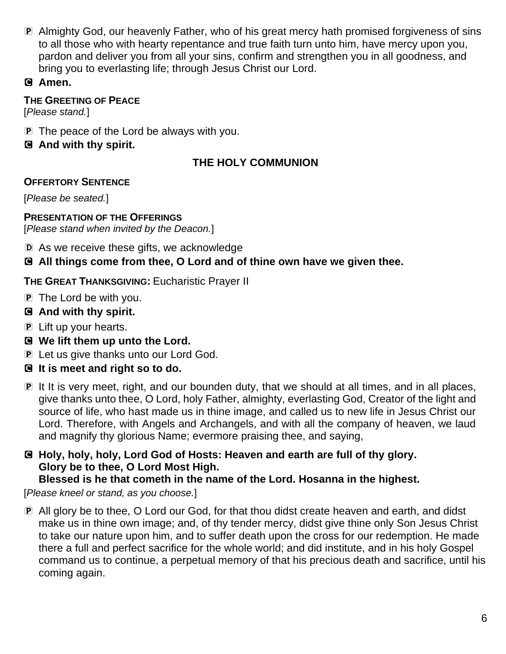- P Almighty God, our heavenly Father, who of his great mercy hath promised forgiveness of sins to all those who with hearty repentance and true faith turn unto him, have mercy upon you, pardon and deliver you from all your sins, confirm and strengthen you in all goodness, and bring you to everlasting life; through Jesus Christ our Lord.
- C **Amen.**

#### **THE GREETING OF PEACE**

[*Please stand.*]

- P The peace of the Lord be always with you.
- C **And with thy spirit.**

# **THE HOLY COMMUNION**

#### **OFFERTORY SENTENCE**

[*Please be seated.*]

#### **PRESENTATION OF THE OFFERINGS**

[*Please stand when invited by the Deacon.*]

- D As we receive these gifts, we acknowledge
- C **All things come from thee, O Lord and of thine own have we given thee.**

**THE GREAT THANKSGIVING:** Eucharistic Prayer II

- P The Lord be with you.
- C **And with thy spirit.**
- P Lift up your hearts.
- C **We lift them up unto the Lord.**
- P Let us give thanks unto our Lord God.
- C **It is meet and right so to do.**
- P It It is very meet, right, and our bounden duty, that we should at all times, and in all places, give thanks unto thee, O Lord, holy Father, almighty, everlasting God, Creator of the light and source of life, who hast made us in thine image, and called us to new life in Jesus Christ our Lord. Therefore, with Angels and Archangels, and with all the company of heaven, we laud and magnify thy glorious Name; evermore praising thee, and saying,
- C **Holy, holy, holy, Lord God of Hosts: Heaven and earth are full of thy glory. Glory be to thee, O Lord Most High.**

**Blessed is he that cometh in the name of the Lord. Hosanna in the highest.**

[*Please kneel or stand, as you choose.*]

P All glory be to thee, O Lord our God, for that thou didst create heaven and earth, and didst make us in thine own image; and, of thy tender mercy, didst give thine only Son Jesus Christ to take our nature upon him, and to suffer death upon the cross for our redemption. He made there a full and perfect sacrifice for the whole world; and did institute, and in his holy Gospel command us to continue, a perpetual memory of that his precious death and sacrifice, until his coming again.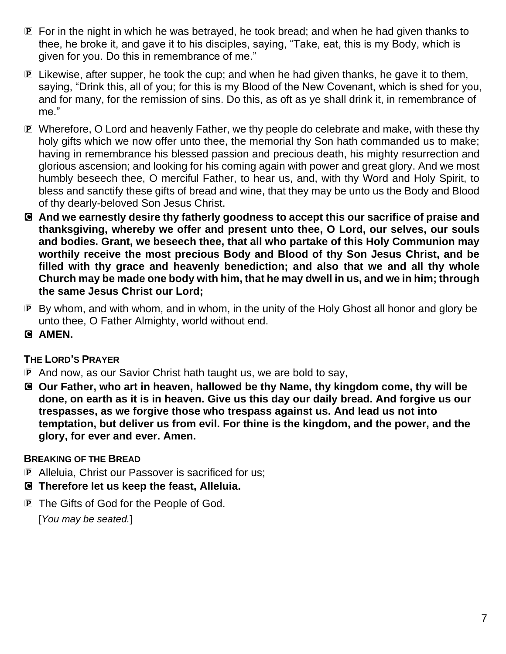- P For in the night in which he was betrayed, he took bread; and when he had given thanks to thee, he broke it, and gave it to his disciples, saying, "Take, eat, this is my Body, which is given for you. Do this in remembrance of me."
- P Likewise, after supper, he took the cup; and when he had given thanks, he gave it to them, saying, "Drink this, all of you; for this is my Blood of the New Covenant, which is shed for you, and for many, for the remission of sins. Do this, as oft as ye shall drink it, in remembrance of me."
- P Wherefore, O Lord and heavenly Father, we thy people do celebrate and make, with these thy holy gifts which we now offer unto thee, the memorial thy Son hath commanded us to make; having in remembrance his blessed passion and precious death, his mighty resurrection and glorious ascension; and looking for his coming again with power and great glory. And we most humbly beseech thee, O merciful Father, to hear us, and, with thy Word and Holy Spirit, to bless and sanctify these gifts of bread and wine, that they may be unto us the Body and Blood of thy dearly-beloved Son Jesus Christ.
- C **And we earnestly desire thy fatherly goodness to accept this our sacrifice of praise and thanksgiving, whereby we offer and present unto thee, O Lord, our selves, our souls and bodies. Grant, we beseech thee, that all who partake of this Holy Communion may worthily receive the most precious Body and Blood of thy Son Jesus Christ, and be filled with thy grace and heavenly benediction; and also that we and all thy whole Church may be made one body with him, that he may dwell in us, and we in him; through the same Jesus Christ our Lord;**
- P By whom, and with whom, and in whom, in the unity of the Holy Ghost all honor and glory be unto thee, O Father Almighty, world without end.
- C **AMEN.**

#### **THE LORD'S PRAYER**

- P And now, as our Savior Christ hath taught us, we are bold to say,
- C **Our Father, who art in heaven, hallowed be thy Name, thy kingdom come, thy will be done, on earth as it is in heaven. Give us this day our daily bread. And forgive us our trespasses, as we forgive those who trespass against us. And lead us not into temptation, but deliver us from evil. For thine is the kingdom, and the power, and the glory, for ever and ever. Amen.**

#### **BREAKING OF THE BREAD**

- P Alleluia, Christ our Passover is sacrificed for us;
- C **Therefore let us keep the feast, Alleluia.**
- **P** The Gifts of God for the People of God.

[*You may be seated.*]